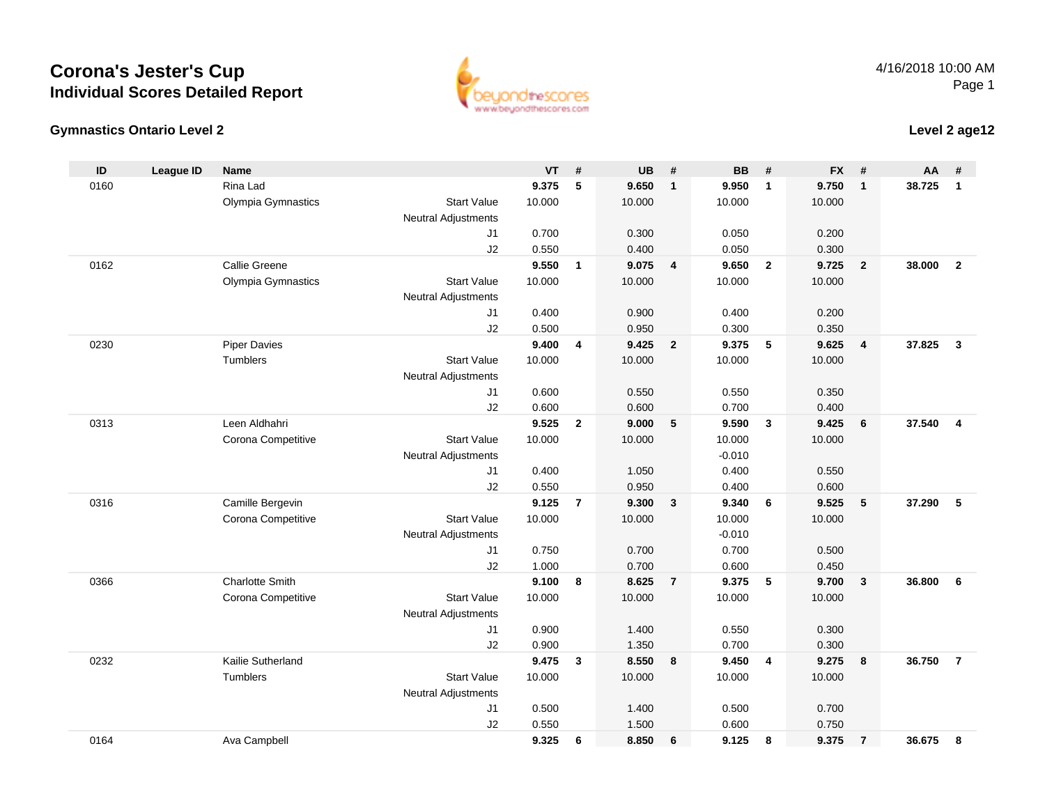



### **Level 2 age12**

| ID   | <b>League ID</b> | <b>Name</b>            |                            | <b>VT</b> | #              | <b>UB</b> | #              | <b>BB</b> | #              | <b>FX</b> | #                       | AA     | #                       |
|------|------------------|------------------------|----------------------------|-----------|----------------|-----------|----------------|-----------|----------------|-----------|-------------------------|--------|-------------------------|
| 0160 |                  | Rina Lad               |                            | 9.375     | 5              | 9.650     | $\mathbf{1}$   | 9.950     | $\overline{1}$ | 9.750     | $\overline{1}$          | 38.725 | $\mathbf{1}$            |
|      |                  | Olympia Gymnastics     | <b>Start Value</b>         | 10.000    |                | 10.000    |                | 10.000    |                | 10.000    |                         |        |                         |
|      |                  |                        | <b>Neutral Adjustments</b> |           |                |           |                |           |                |           |                         |        |                         |
|      |                  |                        | J <sub>1</sub>             | 0.700     |                | 0.300     |                | 0.050     |                | 0.200     |                         |        |                         |
|      |                  |                        | J2                         | 0.550     |                | 0.400     |                | 0.050     |                | 0.300     |                         |        |                         |
| 0162 |                  | Callie Greene          |                            | 9.550     | $\mathbf{1}$   | 9.075     | $\overline{4}$ | 9.650     | $\overline{2}$ | 9.725     | $\overline{2}$          | 38,000 | $\overline{2}$          |
|      |                  | Olympia Gymnastics     | <b>Start Value</b>         | 10.000    |                | 10.000    |                | 10.000    |                | 10.000    |                         |        |                         |
|      |                  |                        | Neutral Adjustments        |           |                |           |                |           |                |           |                         |        |                         |
|      |                  |                        | J1                         | 0.400     |                | 0.900     |                | 0.400     |                | 0.200     |                         |        |                         |
|      |                  |                        | J2                         | 0.500     |                | 0.950     |                | 0.300     |                | 0.350     |                         |        |                         |
| 0230 |                  | <b>Piper Davies</b>    |                            | 9.400     | 4              | 9.425     | $\overline{2}$ | 9.375     | 5              | 9.625     | $\overline{4}$          | 37.825 | $\overline{\mathbf{3}}$ |
|      |                  | Tumblers               | <b>Start Value</b>         | 10.000    |                | 10.000    |                | 10.000    |                | 10.000    |                         |        |                         |
|      |                  |                        | <b>Neutral Adjustments</b> |           |                |           |                |           |                |           |                         |        |                         |
|      |                  |                        | J <sub>1</sub>             | 0.600     |                | 0.550     |                | 0.550     |                | 0.350     |                         |        |                         |
|      |                  |                        | J2                         | 0.600     |                | 0.600     |                | 0.700     |                | 0.400     |                         |        |                         |
| 0313 |                  | Leen Aldhahri          |                            | 9.525     | $\overline{2}$ | 9.000     | 5              | 9.590     | $\mathbf{3}$   | 9.425     | 6                       | 37.540 | $\overline{4}$          |
|      |                  | Corona Competitive     | <b>Start Value</b>         | 10.000    |                | 10.000    |                | 10.000    |                | 10.000    |                         |        |                         |
|      |                  |                        | <b>Neutral Adjustments</b> |           |                |           |                | $-0.010$  |                |           |                         |        |                         |
|      |                  |                        | J1                         | 0.400     |                | 1.050     |                | 0.400     |                | 0.550     |                         |        |                         |
|      |                  |                        | J2                         | 0.550     |                | 0.950     |                | 0.400     |                | 0.600     |                         |        |                         |
| 0316 |                  | Camille Bergevin       |                            | 9.125     | $\overline{7}$ | 9.300     | $\mathbf{3}$   | 9.340     | 6              | 9.525     | 5                       | 37.290 | 5                       |
|      |                  | Corona Competitive     | <b>Start Value</b>         | 10.000    |                | 10.000    |                | 10.000    |                | 10.000    |                         |        |                         |
|      |                  |                        | <b>Neutral Adjustments</b> |           |                |           |                | $-0.010$  |                |           |                         |        |                         |
|      |                  |                        | J1                         | 0.750     |                | 0.700     |                | 0.700     |                | 0.500     |                         |        |                         |
|      |                  |                        | J2                         | 1.000     |                | 0.700     |                | 0.600     |                | 0.450     |                         |        |                         |
| 0366 |                  | <b>Charlotte Smith</b> |                            | 9.100     | 8              | 8.625     | $\overline{7}$ | 9.375     | 5              | 9.700     | $\overline{\mathbf{3}}$ | 36.800 | 6                       |
|      |                  | Corona Competitive     | <b>Start Value</b>         | 10.000    |                | 10.000    |                | 10.000    |                | 10.000    |                         |        |                         |
|      |                  |                        | Neutral Adjustments        | 0.900     |                | 1.400     |                | 0.550     |                | 0.300     |                         |        |                         |
|      |                  |                        | J1<br>J2                   | 0.900     |                | 1.350     |                | 0.700     |                | 0.300     |                         |        |                         |
| 0232 |                  | Kailie Sutherland      |                            | 9.475     | 3              | 8.550     | 8              | 9.450     | $\overline{4}$ | 9.275     | 8                       | 36.750 | $\overline{7}$          |
|      |                  | Tumblers               | <b>Start Value</b>         | 10.000    |                | 10.000    |                | 10.000    |                | 10.000    |                         |        |                         |
|      |                  |                        | <b>Neutral Adjustments</b> |           |                |           |                |           |                |           |                         |        |                         |
|      |                  |                        | J <sub>1</sub>             | 0.500     |                | 1.400     |                | 0.500     |                | 0.700     |                         |        |                         |
|      |                  |                        | J2                         | 0.550     |                | 1.500     |                | 0.600     |                | 0.750     |                         |        |                         |
| 0164 |                  | Ava Campbell           |                            | 9.325     | 6              | 8.850     | 6              | 9.125     | 8              | 9.375     | $\overline{7}$          | 36.675 | 8                       |
|      |                  |                        |                            |           |                |           |                |           |                |           |                         |        |                         |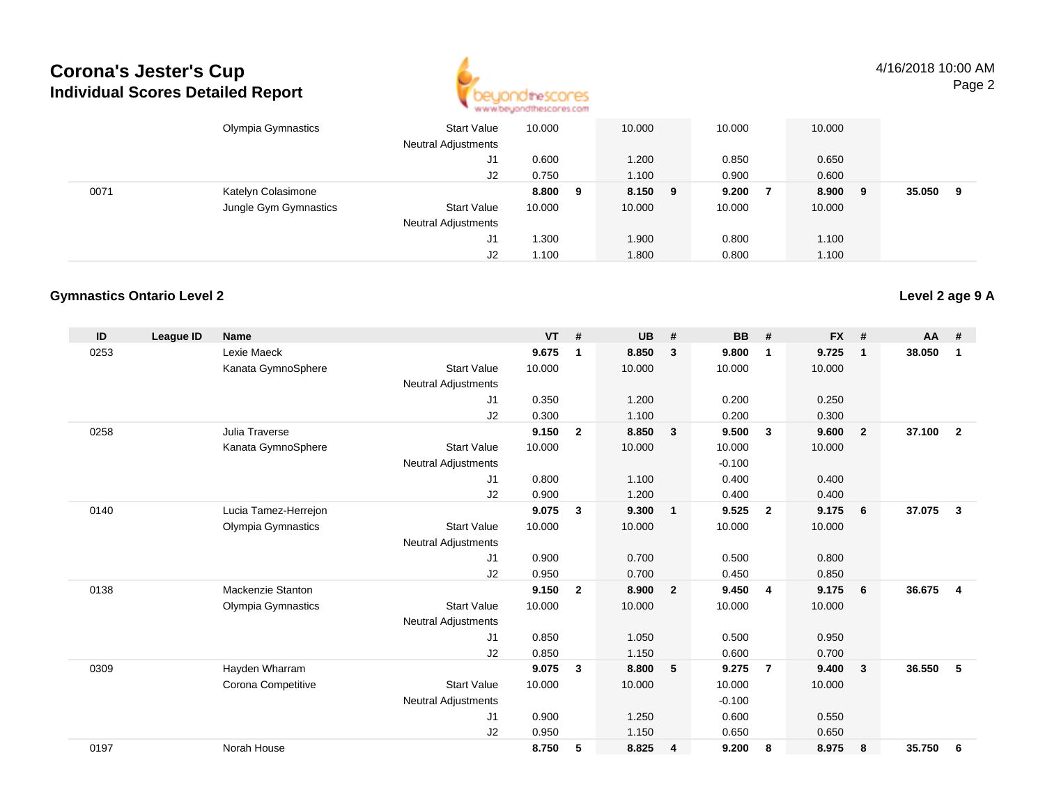

4/16/2018 10:00 AMPage 2

|      | Olympia Gymnastics    | <b>Start Value</b><br><b>Neutral Adjustments</b> | 10.000 |   | 10.000  | 10.000 | 10.000 |   |        |   |
|------|-----------------------|--------------------------------------------------|--------|---|---------|--------|--------|---|--------|---|
|      |                       | J1                                               | 0.600  |   | 1.200   | 0.850  | 0.650  |   |        |   |
|      |                       | J2                                               | 0.750  |   | 1.100   | 0.900  | 0.600  |   |        |   |
| 0071 | Katelyn Colasimone    |                                                  | 8.800  | 9 | 8.150 9 | 9.200  | 8.900  | 9 | 35.050 | 9 |
|      | Jungle Gym Gymnastics | <b>Start Value</b>                               | 10.000 |   | 10.000  | 10.000 | 10.000 |   |        |   |
|      |                       | <b>Neutral Adjustments</b>                       |        |   |         |        |        |   |        |   |
|      |                       | J1                                               | 1.300  |   | 1.900   | 0.800  | 1.100  |   |        |   |
|      |                       | J2                                               | 1.100  |   | 1.800   | 0.800  | 1.100  |   |        |   |

#### **Gymnastics Ontario Level 2**

| ID   | League ID | <b>Name</b>               |                            | <b>VT</b> | #              | <b>UB</b> | #                       | <b>BB</b> | #              | <b>FX</b> | #              | <b>AA</b> | #              |
|------|-----------|---------------------------|----------------------------|-----------|----------------|-----------|-------------------------|-----------|----------------|-----------|----------------|-----------|----------------|
| 0253 |           | Lexie Maeck               |                            | 9.675     | 1              | 8.850     | 3                       | 9.800     | $\mathbf 1$    | 9.725     | $\mathbf{1}$   | 38.050    | 1              |
|      |           | Kanata GymnoSphere        | <b>Start Value</b>         | 10.000    |                | 10.000    |                         | 10.000    |                | 10.000    |                |           |                |
|      |           |                           | <b>Neutral Adjustments</b> |           |                |           |                         |           |                |           |                |           |                |
|      |           |                           | J1                         | 0.350     |                | 1.200     |                         | 0.200     |                | 0.250     |                |           |                |
|      |           |                           | J2                         | 0.300     |                | 1.100     |                         | 0.200     |                | 0.300     |                |           |                |
| 0258 |           | Julia Traverse            |                            | 9.150     | $\overline{2}$ | 8.850     | $\overline{\mathbf{3}}$ | 9.500     | $\mathbf{3}$   | 9.600     | $\overline{2}$ | 37.100    | $\overline{2}$ |
|      |           | Kanata GymnoSphere        | <b>Start Value</b>         | 10.000    |                | 10.000    |                         | 10.000    |                | 10.000    |                |           |                |
|      |           |                           | <b>Neutral Adjustments</b> |           |                |           |                         | $-0.100$  |                |           |                |           |                |
|      |           |                           | J1                         | 0.800     |                | 1.100     |                         | 0.400     |                | 0.400     |                |           |                |
|      |           |                           | J2                         | 0.900     |                | 1.200     |                         | 0.400     |                | 0.400     |                |           |                |
| 0140 |           | Lucia Tamez-Herrejon      |                            | 9.075     | 3              | 9.300     | $\overline{\mathbf{1}}$ | 9.525     | $\overline{2}$ | 9.175     | 6              | 37.075    | 3              |
|      |           | <b>Olympia Gymnastics</b> | <b>Start Value</b>         | 10.000    |                | 10.000    |                         | 10.000    |                | 10.000    |                |           |                |
|      |           |                           | <b>Neutral Adjustments</b> |           |                |           |                         |           |                |           |                |           |                |
|      |           |                           | J <sub>1</sub>             | 0.900     |                | 0.700     |                         | 0.500     |                | 0.800     |                |           |                |
|      |           |                           | J2                         | 0.950     |                | 0.700     |                         | 0.450     |                | 0.850     |                |           |                |
| 0138 |           | Mackenzie Stanton         |                            | 9.150     | $\overline{2}$ | 8.900     | $\overline{\mathbf{2}}$ | 9.450     | $\overline{4}$ | 9.175     | 6              | 36.675    | $\overline{4}$ |
|      |           | <b>Olympia Gymnastics</b> | <b>Start Value</b>         | 10.000    |                | 10.000    |                         | 10.000    |                | 10.000    |                |           |                |
|      |           |                           | <b>Neutral Adjustments</b> |           |                |           |                         |           |                |           |                |           |                |
|      |           |                           | J <sub>1</sub>             | 0.850     |                | 1.050     |                         | 0.500     |                | 0.950     |                |           |                |
|      |           |                           | J2                         | 0.850     |                | 1.150     |                         | 0.600     |                | 0.700     |                |           |                |
| 0309 |           | Hayden Wharram            |                            | 9.075     | 3              | 8.800     | 5                       | 9.275     | $\overline{7}$ | 9.400     | $\mathbf{3}$   | 36.550    | 5              |
|      |           | Corona Competitive        | <b>Start Value</b>         | 10.000    |                | 10.000    |                         | 10.000    |                | 10.000    |                |           |                |
|      |           |                           | <b>Neutral Adjustments</b> |           |                |           |                         | $-0.100$  |                |           |                |           |                |
|      |           |                           | J <sub>1</sub>             | 0.900     |                | 1.250     |                         | 0.600     |                | 0.550     |                |           |                |
|      |           |                           | J <sub>2</sub>             | 0.950     |                | 1.150     |                         | 0.650     |                | 0.650     |                |           |                |
| 0197 |           | Norah House               |                            | 8.750     | 5              | 8.825     | $\overline{4}$          | 9.200     | 8              | 8.975     | 8              | 35.750    | 6              |
|      |           |                           |                            |           |                |           |                         |           |                |           |                |           |                |

#### **Level 2 age 9 A**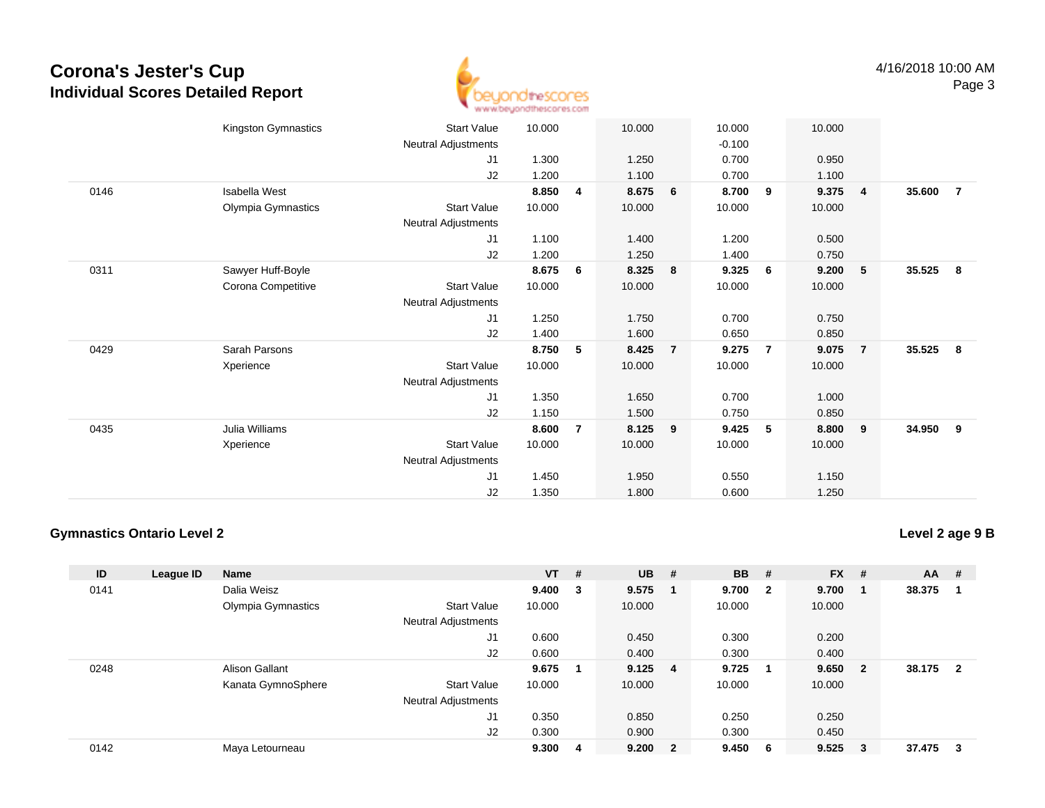

|      | Kingston Gymnastics | <b>Start Value</b>         | 10.000 |                | 10.000 |                | 10.000   |                | 10.000 |                |        |                |
|------|---------------------|----------------------------|--------|----------------|--------|----------------|----------|----------------|--------|----------------|--------|----------------|
|      |                     | Neutral Adjustments        |        |                |        |                | $-0.100$ |                |        |                |        |                |
|      |                     | J1                         | 1.300  |                | 1.250  |                | 0.700    |                | 0.950  |                |        |                |
|      |                     | J2                         | 1.200  |                | 1.100  |                | 0.700    |                | 1.100  |                |        |                |
| 0146 | Isabella West       |                            | 8.850  | 4              | 8.675  | 6              | 8.700    | 9              | 9.375  | $\overline{4}$ | 35.600 | $\overline{7}$ |
|      | Olympia Gymnastics  | Start Value                | 10.000 |                | 10.000 |                | 10.000   |                | 10.000 |                |        |                |
|      |                     | Neutral Adjustments        |        |                |        |                |          |                |        |                |        |                |
|      |                     | J1                         | 1.100  |                | 1.400  |                | 1.200    |                | 0.500  |                |        |                |
|      |                     | J2                         | 1.200  |                | 1.250  |                | 1.400    |                | 0.750  |                |        |                |
| 0311 | Sawyer Huff-Boyle   |                            | 8.675  | 6              | 8.325  | 8              | 9.325    | 6              | 9.200  | 5              | 35.525 | 8              |
|      | Corona Competitive  | <b>Start Value</b>         | 10.000 |                | 10.000 |                | 10.000   |                | 10.000 |                |        |                |
|      |                     | Neutral Adjustments        |        |                |        |                |          |                |        |                |        |                |
|      |                     | J1                         | 1.250  |                | 1.750  |                | 0.700    |                | 0.750  |                |        |                |
|      |                     | J2                         | 1.400  |                | 1.600  |                | 0.650    |                | 0.850  |                |        |                |
| 0429 | Sarah Parsons       |                            | 8.750  | 5              | 8.425  | $\overline{7}$ | 9.275    | $\overline{7}$ | 9.075  | $\overline{7}$ | 35.525 | 8              |
|      | Xperience           | <b>Start Value</b>         | 10.000 |                | 10.000 |                | 10.000   |                | 10.000 |                |        |                |
|      |                     | Neutral Adjustments        |        |                |        |                |          |                |        |                |        |                |
|      |                     | J1                         | 1.350  |                | 1.650  |                | 0.700    |                | 1.000  |                |        |                |
|      |                     | J2                         | 1.150  |                | 1.500  |                | 0.750    |                | 0.850  |                |        |                |
| 0435 | Julia Williams      |                            | 8.600  | $\overline{7}$ | 8.125  | 9              | 9.425    | 5              | 8.800  | $\overline{9}$ | 34.950 | 9              |
|      | Xperience           | <b>Start Value</b>         | 10.000 |                | 10.000 |                | 10.000   |                | 10.000 |                |        |                |
|      |                     | <b>Neutral Adjustments</b> |        |                |        |                |          |                |        |                |        |                |
|      |                     | J1                         | 1.450  |                | 1.950  |                | 0.550    |                | 1.150  |                |        |                |
|      |                     | J2                         | 1.350  |                | 1.800  |                | 0.600    |                | 1.250  |                |        |                |
|      |                     |                            |        |                |        |                |          |                |        |                |        |                |

#### **Gymnastics Ontario Level 2**

**Level 2 age 9 B**

| ID   | League ID | <b>Name</b>           |                            | $VT$ # |        | $UB$ # |                         | <b>BB</b> | - # | <b>FX</b> | #   | <b>AA</b> | #              |
|------|-----------|-----------------------|----------------------------|--------|--------|--------|-------------------------|-----------|-----|-----------|-----|-----------|----------------|
| 0141 |           | Dalia Weisz           |                            | 9.400  | $_{3}$ | 9.575  |                         | 9.700 2   |     | 9.700     | - 1 | 38.375    |                |
|      |           | Olympia Gymnastics    | <b>Start Value</b>         | 10.000 |        | 10.000 |                         | 10.000    |     | 10.000    |     |           |                |
|      |           |                       | <b>Neutral Adjustments</b> |        |        |        |                         |           |     |           |     |           |                |
|      |           |                       | J1                         | 0.600  |        | 0.450  |                         | 0.300     |     | 0.200     |     |           |                |
|      |           |                       | J2                         | 0.600  |        | 0.400  |                         | 0.300     |     | 0.400     |     |           |                |
| 0248 |           | <b>Alison Gallant</b> |                            | 9.675  |        | 9.125  | - 4                     | 9.725     |     | 9.650     | - 2 | 38.175    | $\overline{2}$ |
|      |           | Kanata GymnoSphere    | <b>Start Value</b>         | 10.000 |        | 10.000 |                         | 10.000    |     | 10.000    |     |           |                |
|      |           |                       | <b>Neutral Adjustments</b> |        |        |        |                         |           |     |           |     |           |                |
|      |           |                       | J <sub>1</sub>             | 0.350  |        | 0.850  |                         | 0.250     |     | 0.250     |     |           |                |
|      |           |                       | J2                         | 0.300  |        | 0.900  |                         | 0.300     |     | 0.450     |     |           |                |
| 0142 |           | Maya Letourneau       |                            | 9.300  | 4      | 9.200  | $\overline{\mathbf{2}}$ | 9.450     | - 6 | 9.525     | -3  | 37.475    | 3              |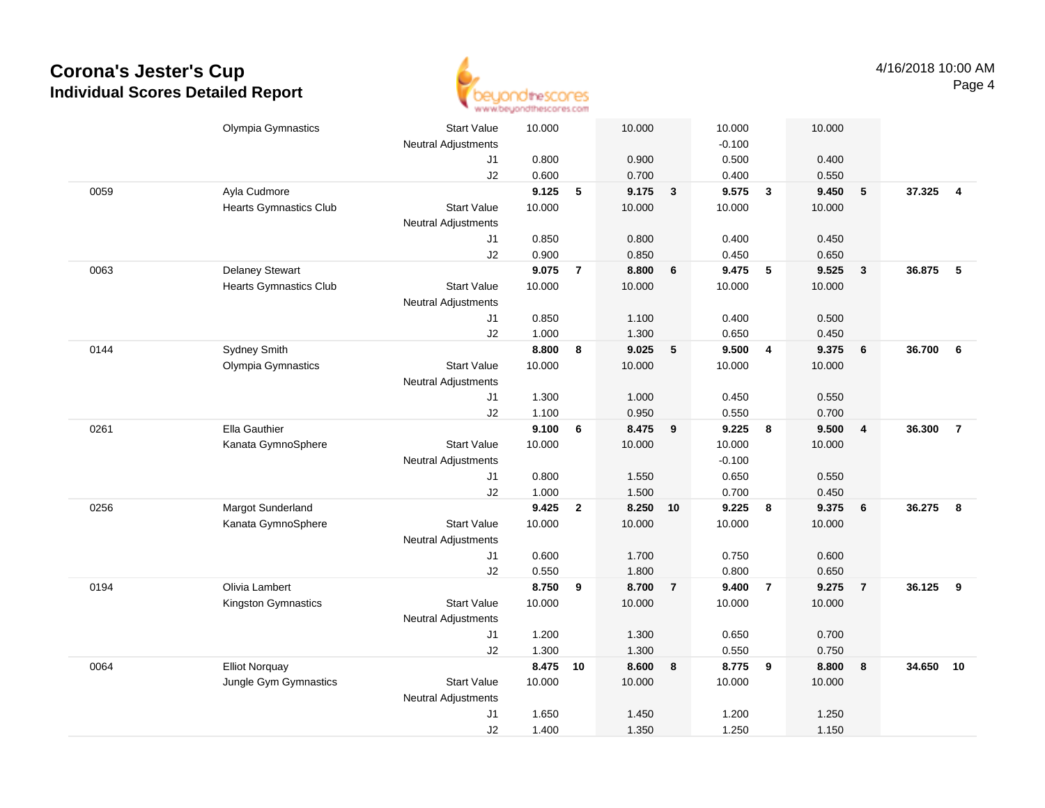

|      | Olympia Gymnastics            | <b>Start Value</b>         | 10.000 |                | 10.000 |                | 10.000   |                          | 10.000 |                         |        |                |
|------|-------------------------------|----------------------------|--------|----------------|--------|----------------|----------|--------------------------|--------|-------------------------|--------|----------------|
|      |                               | <b>Neutral Adjustments</b> |        |                |        |                | $-0.100$ |                          |        |                         |        |                |
|      |                               | J1                         | 0.800  |                | 0.900  |                | 0.500    |                          | 0.400  |                         |        |                |
|      |                               | J2                         | 0.600  |                | 0.700  |                | 0.400    |                          | 0.550  |                         |        |                |
| 0059 | Ayla Cudmore                  |                            | 9.125  | 5              | 9.175  | $\mathbf{3}$   | 9.575    | $\overline{\mathbf{3}}$  | 9.450  | 5                       | 37.325 | $\overline{4}$ |
|      | <b>Hearts Gymnastics Club</b> | <b>Start Value</b>         | 10.000 |                | 10.000 |                | 10.000   |                          | 10.000 |                         |        |                |
|      |                               | <b>Neutral Adjustments</b> |        |                |        |                |          |                          |        |                         |        |                |
|      |                               | J1                         | 0.850  |                | 0.800  |                | 0.400    |                          | 0.450  |                         |        |                |
|      |                               | J2                         | 0.900  |                | 0.850  |                | 0.450    |                          | 0.650  |                         |        |                |
| 0063 | <b>Delaney Stewart</b>        |                            | 9.075  | $\overline{7}$ | 8.800  | 6              | 9.475    | $\overline{\phantom{0}}$ | 9.525  | $\overline{\mathbf{3}}$ | 36.875 | 5              |
|      | <b>Hearts Gymnastics Club</b> | <b>Start Value</b>         | 10.000 |                | 10.000 |                | 10.000   |                          | 10.000 |                         |        |                |
|      |                               | <b>Neutral Adjustments</b> |        |                |        |                |          |                          |        |                         |        |                |
|      |                               | J1                         | 0.850  |                | 1.100  |                | 0.400    |                          | 0.500  |                         |        |                |
|      |                               | J2                         | 1.000  |                | 1.300  |                | 0.650    |                          | 0.450  |                         |        |                |
| 0144 | Sydney Smith                  |                            | 8.800  | 8              | 9.025  | 5              | 9.500    | $\overline{\mathbf{4}}$  | 9.375  | 6                       | 36.700 | 6              |
|      | Olympia Gymnastics            | <b>Start Value</b>         | 10.000 |                | 10.000 |                | 10.000   |                          | 10.000 |                         |        |                |
|      |                               | <b>Neutral Adjustments</b> |        |                |        |                |          |                          |        |                         |        |                |
|      |                               | J1                         | 1.300  |                | 1.000  |                | 0.450    |                          | 0.550  |                         |        |                |
|      |                               | J2                         | 1.100  |                | 0.950  |                | 0.550    |                          | 0.700  |                         |        |                |
| 0261 | Ella Gauthier                 |                            | 9.100  | 6              | 8.475  | 9              | 9.225    | $\bf{8}$                 | 9.500  | $\overline{\mathbf{4}}$ | 36.300 | $\overline{7}$ |
|      | Kanata GymnoSphere            | <b>Start Value</b>         | 10.000 |                | 10.000 |                | 10.000   |                          | 10.000 |                         |        |                |
|      |                               | <b>Neutral Adjustments</b> |        |                |        |                | $-0.100$ |                          |        |                         |        |                |
|      |                               | J1                         | 0.800  |                | 1.550  |                | 0.650    |                          | 0.550  |                         |        |                |
|      |                               | J2                         | 1.000  |                | 1.500  |                | 0.700    |                          | 0.450  |                         |        |                |
| 0256 | Margot Sunderland             |                            | 9.425  | $\mathbf{2}$   | 8.250  | 10             | 9.225    | $\boldsymbol{8}$         | 9.375  | 6                       | 36.275 | 8              |
|      | Kanata GymnoSphere            | <b>Start Value</b>         | 10.000 |                | 10.000 |                | 10.000   |                          | 10.000 |                         |        |                |
|      |                               | <b>Neutral Adjustments</b> |        |                |        |                |          |                          |        |                         |        |                |
|      |                               | J1                         | 0.600  |                | 1.700  |                | 0.750    |                          | 0.600  |                         |        |                |
|      |                               | J2                         | 0.550  |                | 1.800  |                | 0.800    |                          | 0.650  |                         |        |                |
| 0194 | Olivia Lambert                |                            | 8.750  | 9              | 8.700  | $\overline{7}$ | 9.400    | $\overline{7}$           | 9.275  | $\overline{7}$          | 36.125 | 9              |
|      | Kingston Gymnastics           | <b>Start Value</b>         | 10.000 |                | 10.000 |                | 10.000   |                          | 10.000 |                         |        |                |
|      |                               | <b>Neutral Adjustments</b> |        |                |        |                |          |                          |        |                         |        |                |
|      |                               | J1                         | 1.200  |                | 1.300  |                | 0.650    |                          | 0.700  |                         |        |                |
|      |                               | J2                         | 1.300  |                | 1.300  |                | 0.550    |                          | 0.750  |                         |        |                |
| 0064 | <b>Elliot Norquay</b>         |                            | 8.475  | 10             | 8.600  | 8              | 8.775    | 9                        | 8.800  | 8                       | 34.650 | 10             |
|      | Jungle Gym Gymnastics         | <b>Start Value</b>         | 10.000 |                | 10.000 |                | 10.000   |                          | 10.000 |                         |        |                |
|      |                               | <b>Neutral Adjustments</b> |        |                |        |                |          |                          |        |                         |        |                |
|      |                               | J1                         | 1.650  |                | 1.450  |                | 1.200    |                          | 1.250  |                         |        |                |
|      |                               | J2                         | 1.400  |                | 1.350  |                | 1.250    |                          | 1.150  |                         |        |                |
|      |                               |                            |        |                |        |                |          |                          |        |                         |        |                |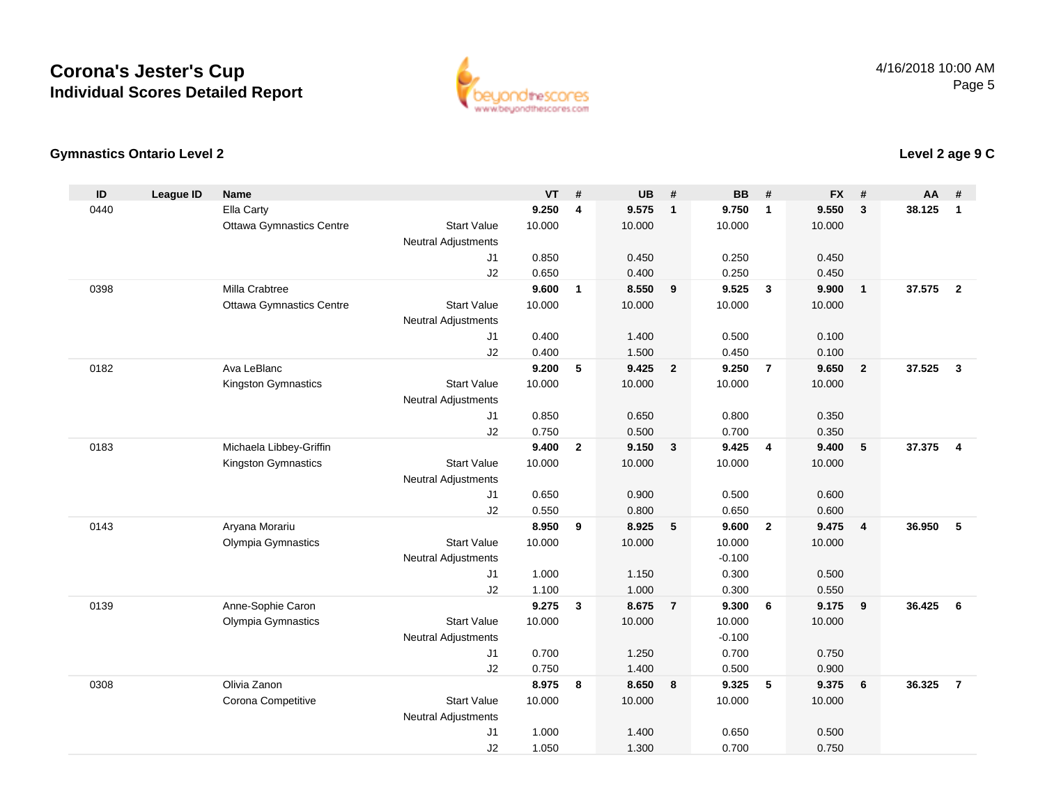

#### **Gymnastics Ontario Level 2**

| ID   | <b>League ID</b> | <b>Name</b>                     |                            | <b>VT</b>      | #                       | <b>UB</b>      | #                       | <b>BB</b>      | #                       | <b>FX</b>      | #              | AA     | #              |
|------|------------------|---------------------------------|----------------------------|----------------|-------------------------|----------------|-------------------------|----------------|-------------------------|----------------|----------------|--------|----------------|
| 0440 |                  | Ella Carty                      |                            | 9.250          | $\overline{\mathbf{4}}$ | 9.575          | $\overline{1}$          | 9.750          | $\mathbf{1}$            | 9.550          | 3              | 38.125 | $\mathbf{1}$   |
|      |                  | <b>Ottawa Gymnastics Centre</b> | <b>Start Value</b>         | 10.000         |                         | 10.000         |                         | 10.000         |                         | 10.000         |                |        |                |
|      |                  |                                 | <b>Neutral Adjustments</b> |                |                         |                |                         |                |                         |                |                |        |                |
|      |                  |                                 | J <sub>1</sub>             | 0.850          |                         | 0.450          |                         | 0.250          |                         | 0.450          |                |        |                |
|      |                  |                                 | J2                         | 0.650          |                         | 0.400          |                         | 0.250          |                         | 0.450          |                |        |                |
| 0398 |                  | Milla Crabtree                  |                            | 9.600          | $\mathbf{1}$            | 8.550          | 9                       | 9.525          | $\mathbf{3}$            | 9.900          | $\mathbf{1}$   | 37.575 | $\overline{2}$ |
|      |                  | <b>Ottawa Gymnastics Centre</b> | <b>Start Value</b>         | 10.000         |                         | 10.000         |                         | 10.000         |                         | 10.000         |                |        |                |
|      |                  |                                 | <b>Neutral Adjustments</b> |                |                         |                |                         |                |                         |                |                |        |                |
|      |                  |                                 | J1                         | 0.400          |                         | 1.400          |                         | 0.500          |                         | 0.100          |                |        |                |
|      |                  |                                 | J2                         | 0.400          |                         | 1.500          |                         | 0.450          |                         | 0.100          |                |        |                |
| 0182 |                  | Ava LeBlanc                     |                            | 9.200          | 5                       | 9.425          | $\overline{2}$          | 9.250          | $\overline{7}$          | 9.650          | $\overline{2}$ | 37.525 | $\mathbf{3}$   |
|      |                  | Kingston Gymnastics             | <b>Start Value</b>         | 10.000         |                         | 10.000         |                         | 10.000         |                         | 10.000         |                |        |                |
|      |                  |                                 | <b>Neutral Adjustments</b> |                |                         |                |                         |                |                         |                |                |        |                |
|      |                  |                                 | J <sub>1</sub>             | 0.850          |                         | 0.650          |                         | 0.800          |                         | 0.350          |                |        |                |
|      |                  |                                 | J2                         | 0.750          |                         | 0.500          |                         | 0.700          |                         | 0.350          |                |        |                |
| 0183 |                  | Michaela Libbey-Griffin         |                            | 9.400          | $\mathbf{2}$            | 9.150          | $\overline{\mathbf{3}}$ | 9.425          | $\overline{\mathbf{4}}$ | 9.400          | 5              | 37.375 | $\overline{4}$ |
|      |                  | Kingston Gymnastics             | <b>Start Value</b>         | 10.000         |                         | 10.000         |                         | 10.000         |                         | 10.000         |                |        |                |
|      |                  |                                 | <b>Neutral Adjustments</b> |                |                         |                |                         |                |                         |                |                |        |                |
|      |                  |                                 | J <sub>1</sub>             | 0.650          |                         | 0.900          |                         | 0.500          |                         | 0.600          |                |        |                |
|      |                  |                                 | J2                         | 0.550          |                         | 0.800          |                         | 0.650          |                         | 0.600          |                |        |                |
| 0143 |                  | Aryana Morariu                  |                            | 8.950          | 9                       | 8.925          | 5                       | 9.600          | $\overline{2}$          | 9.475          | $\overline{4}$ | 36.950 | 5              |
|      |                  | Olympia Gymnastics              | <b>Start Value</b>         | 10.000         |                         | 10.000         |                         | 10.000         |                         | 10.000         |                |        |                |
|      |                  |                                 | <b>Neutral Adjustments</b> |                |                         |                |                         | $-0.100$       |                         |                |                |        |                |
|      |                  |                                 | J1<br>J2                   | 1.000<br>1.100 |                         | 1.150          |                         | 0.300<br>0.300 |                         | 0.500<br>0.550 |                |        |                |
| 0139 |                  | Anne-Sophie Caron               |                            | 9.275          | $\mathbf{3}$            | 1.000<br>8.675 | $\overline{7}$          | 9.300          | 6                       | 9.175          | 9              | 36.425 | 6              |
|      |                  | Olympia Gymnastics              | <b>Start Value</b>         | 10.000         |                         | 10.000         |                         | 10.000         |                         | 10.000         |                |        |                |
|      |                  |                                 | <b>Neutral Adjustments</b> |                |                         |                |                         | $-0.100$       |                         |                |                |        |                |
|      |                  |                                 | J1                         | 0.700          |                         | 1.250          |                         | 0.700          |                         | 0.750          |                |        |                |
|      |                  |                                 | J2                         | 0.750          |                         | 1.400          |                         | 0.500          |                         | 0.900          |                |        |                |
| 0308 |                  | Olivia Zanon                    |                            | 8.975          | 8                       | 8.650          | 8                       | 9.325          | 5                       | 9.375          | 6              | 36.325 | $\overline{7}$ |
|      |                  | Corona Competitive              | <b>Start Value</b>         | 10.000         |                         | 10.000         |                         | 10.000         |                         | 10.000         |                |        |                |
|      |                  |                                 | <b>Neutral Adjustments</b> |                |                         |                |                         |                |                         |                |                |        |                |
|      |                  |                                 | J1                         | 1.000          |                         | 1.400          |                         | 0.650          |                         | 0.500          |                |        |                |
|      |                  |                                 | J2                         | 1.050          |                         | 1.300          |                         | 0.700          |                         | 0.750          |                |        |                |
|      |                  |                                 |                            |                |                         |                |                         |                |                         |                |                |        |                |

### **Level 2 age 9 C**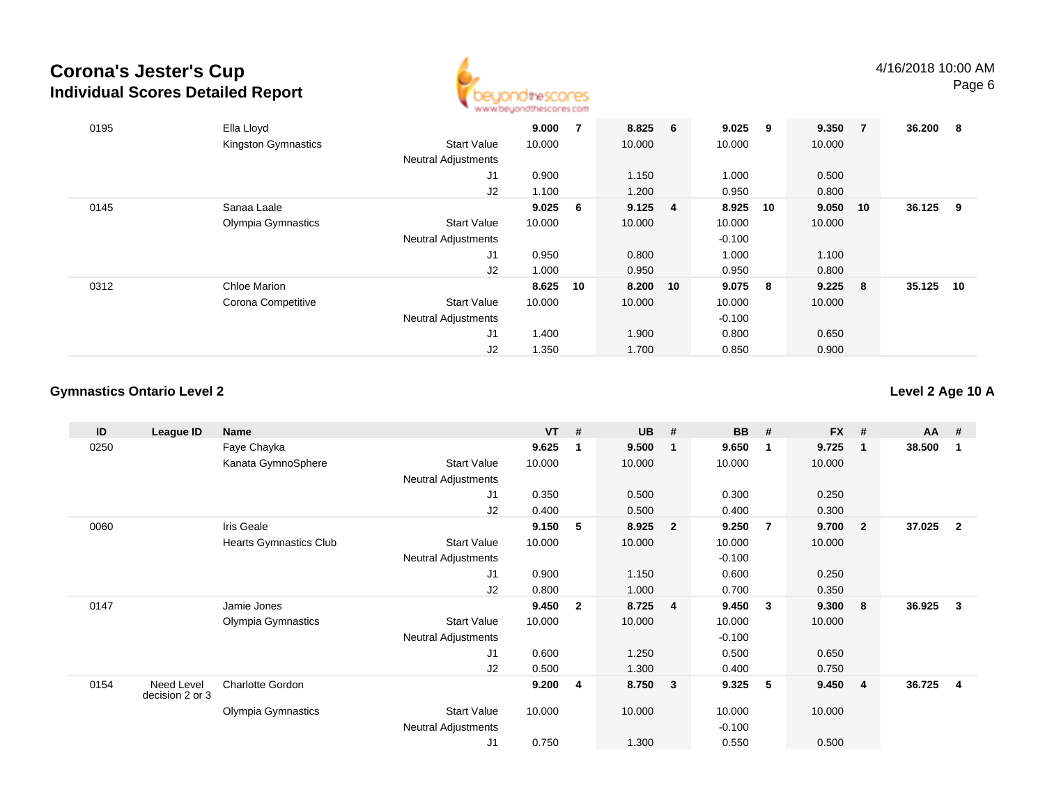

| 0195 | Ella Lloyd          |                            | 9.000     | 7  | 8.825           | - 6 | 9.025    | 9   | 9.350  | -7  | 36.200 | 8  |
|------|---------------------|----------------------------|-----------|----|-----------------|-----|----------|-----|--------|-----|--------|----|
|      | Kingston Gymnastics | <b>Start Value</b>         | 10.000    |    | 10.000          |     | 10.000   |     | 10.000 |     |        |    |
|      |                     | <b>Neutral Adjustments</b> |           |    |                 |     |          |     |        |     |        |    |
|      |                     | J1                         | 0.900     |    | 1.150           |     | 1.000    |     | 0.500  |     |        |    |
|      |                     | J2                         | 1.100     |    | 1.200           |     | 0.950    |     | 0.800  |     |        |    |
| 0145 | Sanaa Laale         |                            | $9.025$ 6 |    | $9.125 \quad 4$ |     | 8.925    | 10  | 9.050  | 10  | 36.125 | 9  |
|      | Olympia Gymnastics  | <b>Start Value</b>         | 10.000    |    | 10.000          |     | 10.000   |     | 10.000 |     |        |    |
|      |                     | <b>Neutral Adjustments</b> |           |    |                 |     | $-0.100$ |     |        |     |        |    |
|      |                     | J1                         | 0.950     |    | 0.800           |     | 1.000    |     | 1.100  |     |        |    |
|      |                     | J2                         | 1.000     |    | 0.950           |     | 0.950    |     | 0.800  |     |        |    |
| 0312 | Chloe Marion        |                            | 8.625     | 10 | 8.200           | 10  | 9.075    | - 8 | 9.225  | - 8 | 35.125 | 10 |
|      | Corona Competitive  | <b>Start Value</b>         | 10.000    |    | 10.000          |     | 10.000   |     | 10.000 |     |        |    |
|      |                     | <b>Neutral Adjustments</b> |           |    |                 |     | $-0.100$ |     |        |     |        |    |
|      |                     | J1                         | 1.400     |    | 1.900           |     | 0.800    |     | 0.650  |     |        |    |
|      |                     | J2                         | 1.350     |    | 1.700           |     | 0.850    |     | 0.900  |     |        |    |

#### **Gymnastics Ontario Level 2**

**Level 2 Age 10 A**

| ID   | League ID                     | <b>Name</b>                   |                            | <b>VT</b> | #              | <b>UB</b> | #                       | <b>BB</b> | #              | <b>FX</b> | #                       | AA     | #                       |
|------|-------------------------------|-------------------------------|----------------------------|-----------|----------------|-----------|-------------------------|-----------|----------------|-----------|-------------------------|--------|-------------------------|
| 0250 |                               | Faye Chayka                   |                            | 9.625     | 1              | 9.500     | $\mathbf 1$             | 9.650     | $\mathbf{1}$   | 9.725     | - 1                     | 38.500 | $\mathbf{1}$            |
|      |                               | Kanata GymnoSphere            | <b>Start Value</b>         | 10.000    |                | 10.000    |                         | 10.000    |                | 10.000    |                         |        |                         |
|      |                               |                               | <b>Neutral Adjustments</b> |           |                |           |                         |           |                |           |                         |        |                         |
|      |                               |                               | J <sub>1</sub>             | 0.350     |                | 0.500     |                         | 0.300     |                | 0.250     |                         |        |                         |
|      |                               |                               | J2                         | 0.400     |                | 0.500     |                         | 0.400     |                | 0.300     |                         |        |                         |
| 0060 |                               | Iris Geale                    |                            | 9.150     | 5              | 8.925     | $\overline{2}$          | 9.250     | $\overline{7}$ | 9.700     | $\overline{\mathbf{2}}$ | 37.025 | $\overline{\mathbf{2}}$ |
|      |                               | <b>Hearts Gymnastics Club</b> | <b>Start Value</b>         | 10.000    |                | 10.000    |                         | 10.000    |                | 10.000    |                         |        |                         |
|      |                               |                               | <b>Neutral Adjustments</b> |           |                |           |                         | $-0.100$  |                |           |                         |        |                         |
|      |                               |                               | J1                         | 0.900     |                | 1.150     |                         | 0.600     |                | 0.250     |                         |        |                         |
|      |                               |                               | J2                         | 0.800     |                | 1.000     |                         | 0.700     |                | 0.350     |                         |        |                         |
| 0147 |                               | Jamie Jones                   |                            | 9.450     | $\overline{2}$ | 8.725     | $\overline{\mathbf{4}}$ | 9.450     | $\mathbf{3}$   | 9.300     | - 8                     | 36.925 | 3                       |
|      |                               | Olympia Gymnastics            | <b>Start Value</b>         | 10.000    |                | 10.000    |                         | 10.000    |                | 10.000    |                         |        |                         |
|      |                               |                               | Neutral Adjustments        |           |                |           |                         | $-0.100$  |                |           |                         |        |                         |
|      |                               |                               | J <sub>1</sub>             | 0.600     |                | 1.250     |                         | 0.500     |                | 0.650     |                         |        |                         |
|      |                               |                               | J2                         | 0.500     |                | 1.300     |                         | 0.400     |                | 0.750     |                         |        |                         |
| 0154 | Need Level<br>decision 2 or 3 | Charlotte Gordon              |                            | 9.200     | 4              | 8.750     | 3                       | 9.325     | - 5            | 9.450     | $\overline{4}$          | 36.725 | -4                      |
|      |                               | Olympia Gymnastics            | <b>Start Value</b>         | 10.000    |                | 10.000    |                         | 10.000    |                | 10.000    |                         |        |                         |
|      |                               |                               | Neutral Adjustments        |           |                |           |                         | $-0.100$  |                |           |                         |        |                         |
|      |                               |                               | J1                         | 0.750     |                | 1.300     |                         | 0.550     |                | 0.500     |                         |        |                         |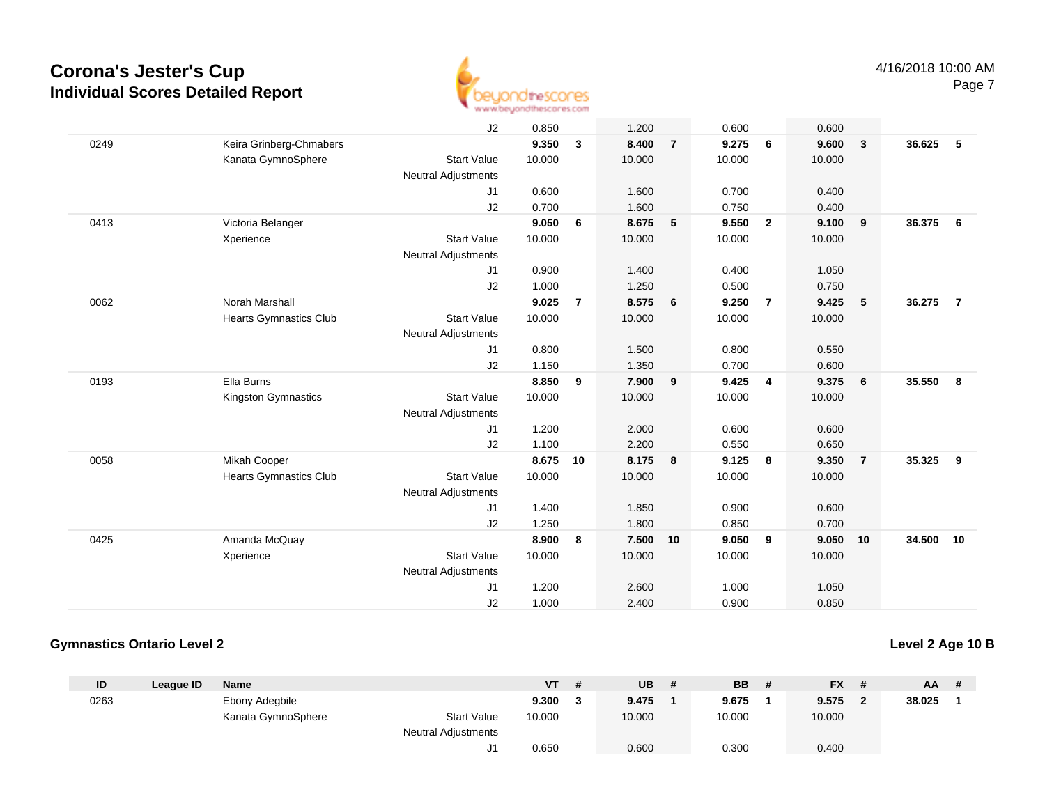

|      |                         | J2                         | 0.850  |                | 1.200  |                         | 0.600  |                         | 0.600  |                         |        |                |
|------|-------------------------|----------------------------|--------|----------------|--------|-------------------------|--------|-------------------------|--------|-------------------------|--------|----------------|
| 0249 | Keira Grinberg-Chmabers |                            | 9.350  | 3              | 8.400  | $\overline{7}$          | 9.275  | 6                       | 9.600  | $\overline{\mathbf{3}}$ | 36.625 | 5              |
|      | Kanata GymnoSphere      | <b>Start Value</b>         | 10.000 |                | 10.000 |                         | 10.000 |                         | 10.000 |                         |        |                |
|      |                         | <b>Neutral Adjustments</b> |        |                |        |                         |        |                         |        |                         |        |                |
|      |                         | J1                         | 0.600  |                | 1.600  |                         | 0.700  |                         | 0.400  |                         |        |                |
|      |                         | J2                         | 0.700  |                | 1.600  |                         | 0.750  |                         | 0.400  |                         |        |                |
| 0413 | Victoria Belanger       |                            | 9.050  | 6              | 8.675  | 5                       | 9.550  | $\overline{\mathbf{2}}$ | 9.100  | 9                       | 36.375 | - 6            |
|      | Xperience               | <b>Start Value</b>         | 10.000 |                | 10.000 |                         | 10.000 |                         | 10.000 |                         |        |                |
|      |                         | <b>Neutral Adjustments</b> |        |                |        |                         |        |                         |        |                         |        |                |
|      |                         | J1                         | 0.900  |                | 1.400  |                         | 0.400  |                         | 1.050  |                         |        |                |
|      |                         | J2                         | 1.000  |                | 1.250  |                         | 0.500  |                         | 0.750  |                         |        |                |
| 0062 | Norah Marshall          |                            | 9.025  | $\overline{7}$ | 8.575  | 6                       | 9.250  | $\overline{7}$          | 9.425  | 5                       | 36.275 | $\overline{7}$ |
|      | Hearts Gymnastics Club  | <b>Start Value</b>         | 10.000 |                | 10.000 |                         | 10.000 |                         | 10.000 |                         |        |                |
|      |                         | <b>Neutral Adjustments</b> |        |                |        |                         |        |                         |        |                         |        |                |
|      |                         | J1                         | 0.800  |                | 1.500  |                         | 0.800  |                         | 0.550  |                         |        |                |
|      |                         | J2                         | 1.150  |                | 1.350  |                         | 0.700  |                         | 0.600  |                         |        |                |
| 0193 | Ella Burns              |                            | 8.850  | 9              | 7.900  | 9                       | 9.425  | $\overline{4}$          | 9.375  | 6                       | 35.550 | 8              |
|      | Kingston Gymnastics     | <b>Start Value</b>         | 10.000 |                | 10.000 |                         | 10.000 |                         | 10.000 |                         |        |                |
|      |                         | <b>Neutral Adjustments</b> |        |                |        |                         |        |                         |        |                         |        |                |
|      |                         | J1                         | 1.200  |                | 2.000  |                         | 0.600  |                         | 0.600  |                         |        |                |
|      |                         | J2                         | 1.100  |                | 2.200  |                         | 0.550  |                         | 0.650  |                         |        |                |
| 0058 | Mikah Cooper            |                            | 8.675  | 10             | 8.175  | $\overline{\mathbf{8}}$ | 9.125  | 8                       | 9.350  | $\overline{7}$          | 35.325 | 9              |
|      | Hearts Gymnastics Club  | <b>Start Value</b>         | 10.000 |                | 10.000 |                         | 10.000 |                         | 10.000 |                         |        |                |
|      |                         | <b>Neutral Adjustments</b> |        |                |        |                         |        |                         |        |                         |        |                |
|      |                         | J1                         | 1.400  |                | 1.850  |                         | 0.900  |                         | 0.600  |                         |        |                |
|      |                         | J2                         | 1.250  |                | 1.800  |                         | 0.850  |                         | 0.700  |                         |        |                |
| 0425 | Amanda McQuay           |                            | 8.900  | 8              | 7.500  | 10                      | 9.050  | 9                       | 9.050  | 10                      | 34.500 | 10             |
|      | Xperience               | <b>Start Value</b>         | 10.000 |                | 10.000 |                         | 10.000 |                         | 10.000 |                         |        |                |
|      |                         | <b>Neutral Adjustments</b> |        |                |        |                         |        |                         |        |                         |        |                |
|      |                         | J1                         | 1.200  |                | 2.600  |                         | 1.000  |                         | 1.050  |                         |        |                |
|      |                         | J2                         | 1.000  |                | 2.400  |                         | 0.900  |                         | 0.850  |                         |        |                |

#### **Gymnastics Ontario Level 2**

#### **Level 2 Age 10 B**

| ID   | League ID | Name               |                            | VT     | # | <b>UB</b> | <b>BB</b> | <b>FX</b> |              | $AA$ # |  |
|------|-----------|--------------------|----------------------------|--------|---|-----------|-----------|-----------|--------------|--------|--|
| 0263 |           | Ebony Adegbile     |                            | 9.300  |   | 9.475     | 9.675     | 9.575     | $\mathbf{r}$ | 38.025 |  |
|      |           | Kanata GymnoSphere | <b>Start Value</b>         | 10.000 |   | 10.000    | 10.000    | 10.000    |              |        |  |
|      |           |                    | <b>Neutral Adjustments</b> |        |   |           |           |           |              |        |  |
|      |           |                    |                            | 0.650  |   | 0.600     | 0.300     | 0.400     |              |        |  |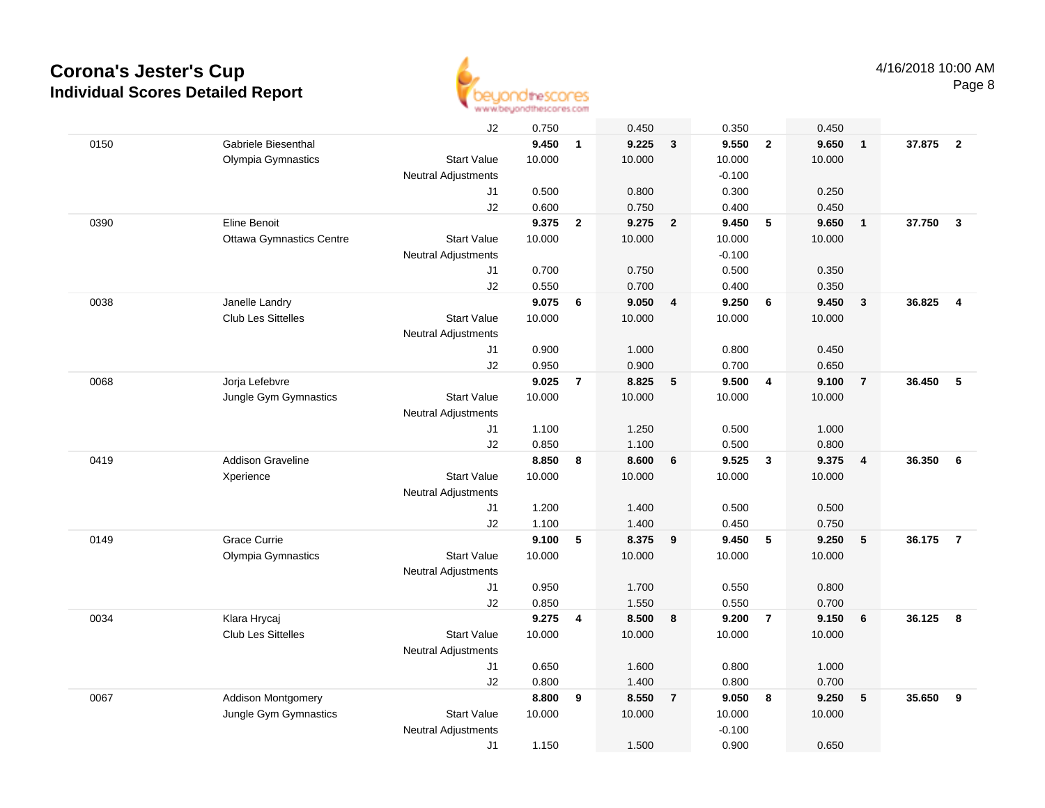

|      |                                 | J2                         | 0.750  |                         | 0.450  |                         | 0.350    |                | 0.450  |                |        |                         |
|------|---------------------------------|----------------------------|--------|-------------------------|--------|-------------------------|----------|----------------|--------|----------------|--------|-------------------------|
| 0150 | Gabriele Biesenthal             |                            | 9.450  | $\mathbf{1}$            | 9.225  | $\mathbf{3}$            | 9.550    | $\overline{2}$ | 9.650  | $\overline{1}$ | 37.875 | $\overline{\mathbf{2}}$ |
|      | Olympia Gymnastics              | <b>Start Value</b>         | 10.000 |                         | 10.000 |                         | 10.000   |                | 10.000 |                |        |                         |
|      |                                 | <b>Neutral Adjustments</b> |        |                         |        |                         | $-0.100$ |                |        |                |        |                         |
|      |                                 | J1                         | 0.500  |                         | 0.800  |                         | 0.300    |                | 0.250  |                |        |                         |
|      |                                 | J2                         | 0.600  |                         | 0.750  |                         | 0.400    |                | 0.450  |                |        |                         |
| 0390 | Eline Benoit                    |                            | 9.375  | $\overline{2}$          | 9.275  | $\overline{2}$          | 9.450    | 5              | 9.650  | $\mathbf{1}$   | 37.750 | $\overline{\mathbf{3}}$ |
|      | <b>Ottawa Gymnastics Centre</b> | <b>Start Value</b>         | 10.000 |                         | 10.000 |                         | 10.000   |                | 10.000 |                |        |                         |
|      |                                 | Neutral Adjustments        |        |                         |        |                         | $-0.100$ |                |        |                |        |                         |
|      |                                 | J1                         | 0.700  |                         | 0.750  |                         | 0.500    |                | 0.350  |                |        |                         |
|      |                                 | J2                         | 0.550  |                         | 0.700  |                         | 0.400    |                | 0.350  |                |        |                         |
| 0038 | Janelle Landry                  |                            | 9.075  | 6                       | 9.050  | $\overline{4}$          | 9.250    | - 6            | 9.450  | $\mathbf{3}$   | 36.825 | $\overline{4}$          |
|      | <b>Club Les Sittelles</b>       | <b>Start Value</b>         | 10.000 |                         | 10.000 |                         | 10.000   |                | 10.000 |                |        |                         |
|      |                                 | Neutral Adjustments        |        |                         |        |                         |          |                |        |                |        |                         |
|      |                                 | J1                         | 0.900  |                         | 1.000  |                         | 0.800    |                | 0.450  |                |        |                         |
|      |                                 | J2                         | 0.950  |                         | 0.900  |                         | 0.700    |                | 0.650  |                |        |                         |
| 0068 | Jorja Lefebvre                  |                            | 9.025  | $\overline{7}$          | 8.825  | 5                       | 9.500    | $\overline{4}$ | 9.100  | $\overline{7}$ | 36.450 | 5                       |
|      | Jungle Gym Gymnastics           | <b>Start Value</b>         | 10.000 |                         | 10.000 |                         | 10.000   |                | 10.000 |                |        |                         |
|      |                                 | <b>Neutral Adjustments</b> |        |                         |        |                         |          |                |        |                |        |                         |
|      |                                 | J1                         | 1.100  |                         | 1.250  |                         | 0.500    |                | 1.000  |                |        |                         |
|      |                                 | J2                         | 0.850  |                         | 1.100  |                         | 0.500    |                | 0.800  |                |        |                         |
| 0419 | <b>Addison Graveline</b>        |                            | 8.850  | 8                       | 8.600  | 6                       | 9.525    | $\mathbf{3}$   | 9.375  | $\overline{4}$ | 36.350 | 6                       |
|      | Xperience                       | <b>Start Value</b>         | 10.000 |                         | 10.000 |                         | 10.000   |                | 10.000 |                |        |                         |
|      |                                 | <b>Neutral Adjustments</b> |        |                         |        |                         |          |                |        |                |        |                         |
|      |                                 | J1                         | 1.200  |                         | 1.400  |                         | 0.500    |                | 0.500  |                |        |                         |
|      |                                 | J2                         | 1.100  |                         | 1.400  |                         | 0.450    |                | 0.750  |                |        |                         |
| 0149 | <b>Grace Currie</b>             |                            | 9.100  | 5                       | 8.375  | 9                       | 9.450    | 5              | 9.250  | 5              | 36.175 | $\overline{7}$          |
|      | Olympia Gymnastics              | <b>Start Value</b>         | 10.000 |                         | 10.000 |                         | 10.000   |                | 10.000 |                |        |                         |
|      |                                 | Neutral Adjustments        |        |                         |        |                         |          |                |        |                |        |                         |
|      |                                 | J1                         | 0.950  |                         | 1.700  |                         | 0.550    |                | 0.800  |                |        |                         |
|      |                                 | J2                         | 0.850  |                         | 1.550  |                         | 0.550    |                | 0.700  |                |        |                         |
| 0034 | Klara Hrycaj                    |                            | 9.275  | $\overline{\mathbf{4}}$ | 8.500  | $\overline{\mathbf{8}}$ | 9.200    | $\overline{7}$ | 9.150  | 6              | 36.125 | - 8                     |
|      | <b>Club Les Sittelles</b>       | <b>Start Value</b>         | 10.000 |                         | 10.000 |                         | 10.000   |                | 10.000 |                |        |                         |
|      |                                 | <b>Neutral Adjustments</b> |        |                         |        |                         |          |                |        |                |        |                         |
|      |                                 | J1                         | 0.650  |                         | 1.600  |                         | 0.800    |                | 1.000  |                |        |                         |
|      |                                 | J2                         | 0.800  |                         | 1.400  |                         | 0.800    |                | 0.700  |                |        |                         |
| 0067 | Addison Montgomery              |                            | 8.800  | 9                       | 8.550  | $\overline{7}$          | 9.050    | 8              | 9.250  | 5              | 35.650 | 9                       |
|      | Jungle Gym Gymnastics           | <b>Start Value</b>         | 10.000 |                         | 10.000 |                         | 10.000   |                | 10.000 |                |        |                         |
|      |                                 | <b>Neutral Adjustments</b> |        |                         |        |                         | $-0.100$ |                |        |                |        |                         |
|      |                                 | J1                         | 1.150  |                         | 1.500  |                         | 0.900    |                | 0.650  |                |        |                         |
|      |                                 |                            |        |                         |        |                         |          |                |        |                |        |                         |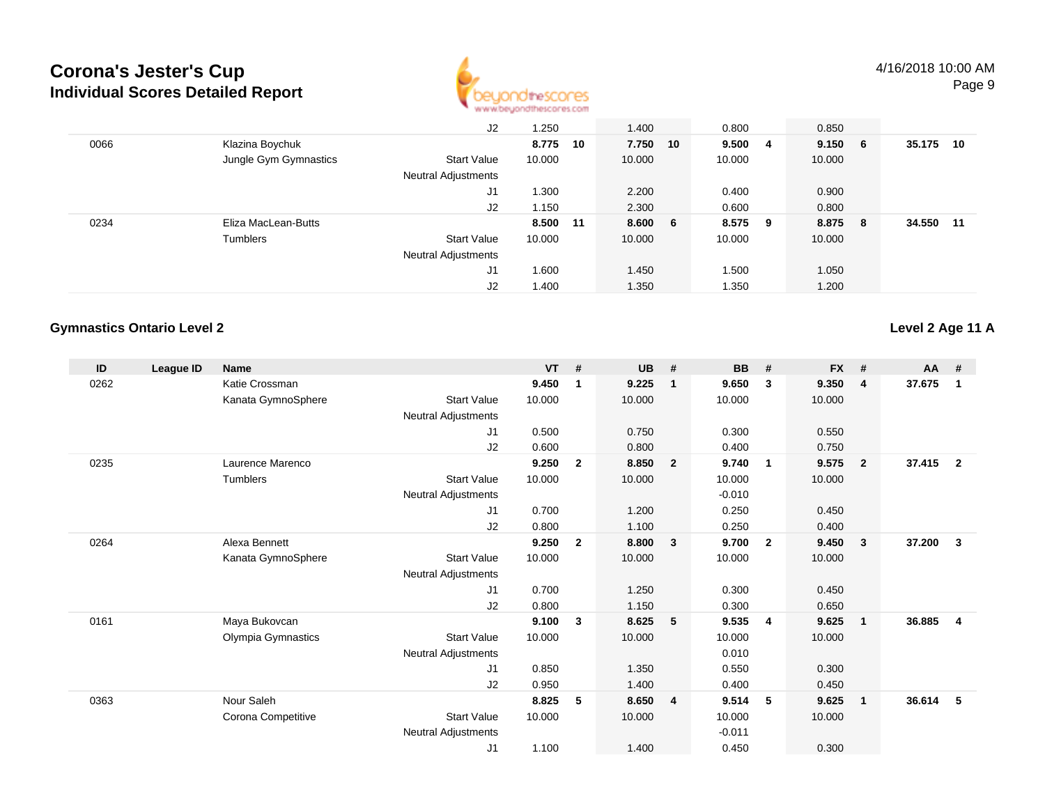

|      |                       | J2                         | 1.250    |    | 1.400    | 0.800  |     | 0.850  |     |        |     |
|------|-----------------------|----------------------------|----------|----|----------|--------|-----|--------|-----|--------|-----|
| 0066 | Klazina Boychuk       |                            | 8.775    | 10 | 7.750 10 | 9.5004 |     | 9.150  | - 6 | 35.175 | 10  |
|      | Jungle Gym Gymnastics | <b>Start Value</b>         | 10.000   |    | 10.000   | 10.000 |     | 10.000 |     |        |     |
|      |                       | Neutral Adjustments        |          |    |          |        |     |        |     |        |     |
|      |                       | J1                         | 1.300    |    | 2.200    | 0.400  |     | 0.900  |     |        |     |
|      |                       | J2                         | 1.150    |    | 2.300    | 0.600  |     | 0.800  |     |        |     |
| 0234 | Eliza MacLean-Butts   |                            | 8.500 11 |    | 8.600 6  | 8.575  | - 9 | 8.875  | - 8 | 34.550 | -11 |
|      | Tumblers              | <b>Start Value</b>         | 10.000   |    | 10.000   | 10.000 |     | 10.000 |     |        |     |
|      |                       | <b>Neutral Adjustments</b> |          |    |          |        |     |        |     |        |     |
|      |                       | J1                         | 1.600    |    | 1.450    | 1.500  |     | 1.050  |     |        |     |
|      |                       | J2                         | 1.400    |    | 1.350    | 1.350  |     | 1.200  |     |        |     |

#### **Gymnastics Ontario Level 2**

**Level 2 Age 11 A**

| ID   | League ID | <b>Name</b>        |                            | <b>VT</b> | #              | <b>UB</b> | #                       | <b>BB</b> | #              | <b>FX</b> | #              | AA #   |                |
|------|-----------|--------------------|----------------------------|-----------|----------------|-----------|-------------------------|-----------|----------------|-----------|----------------|--------|----------------|
| 0262 |           | Katie Crossman     |                            | 9.450     | -1             | 9.225     | $\mathbf{1}$            | 9.650     | 3              | 9.350     | $\overline{4}$ | 37.675 | 1              |
|      |           | Kanata GymnoSphere | <b>Start Value</b>         | 10.000    |                | 10.000    |                         | 10.000    |                | 10.000    |                |        |                |
|      |           |                    | Neutral Adjustments        |           |                |           |                         |           |                |           |                |        |                |
|      |           |                    | J <sub>1</sub>             | 0.500     |                | 0.750     |                         | 0.300     |                | 0.550     |                |        |                |
|      |           |                    | J2                         | 0.600     |                | 0.800     |                         | 0.400     |                | 0.750     |                |        |                |
| 0235 |           | Laurence Marenco   |                            | 9.250     | $\overline{2}$ | 8.850     | $\overline{\mathbf{2}}$ | 9.740     | $\overline{1}$ | 9.575     | $\overline{2}$ | 37.415 | $\overline{2}$ |
|      |           | <b>Tumblers</b>    | <b>Start Value</b>         | 10.000    |                | 10.000    |                         | 10.000    |                | 10.000    |                |        |                |
|      |           |                    | Neutral Adjustments        |           |                |           |                         | $-0.010$  |                |           |                |        |                |
|      |           |                    | J <sub>1</sub>             | 0.700     |                | 1.200     |                         | 0.250     |                | 0.450     |                |        |                |
|      |           |                    | J2                         | 0.800     |                | 1.100     |                         | 0.250     |                | 0.400     |                |        |                |
| 0264 |           | Alexa Bennett      |                            | 9.250     | $\mathbf{2}$   | 8.800     | $\mathbf{3}$            | 9.700     | $\overline{2}$ | 9.450     | 3              | 37.200 | 3              |
|      |           | Kanata GymnoSphere | <b>Start Value</b>         | 10.000    |                | 10.000    |                         | 10.000    |                | 10.000    |                |        |                |
|      |           |                    | Neutral Adjustments        |           |                |           |                         |           |                |           |                |        |                |
|      |           |                    | J <sub>1</sub>             | 0.700     |                | 1.250     |                         | 0.300     |                | 0.450     |                |        |                |
|      |           |                    | J2                         | 0.800     |                | 1.150     |                         | 0.300     |                | 0.650     |                |        |                |
| 0161 |           | Maya Bukovcan      |                            | 9.100     | 3              | 8.625     | 5                       | 9.535     | $\overline{4}$ | 9.625     | $\mathbf{1}$   | 36.885 | 4              |
|      |           | Olympia Gymnastics | <b>Start Value</b>         | 10.000    |                | 10.000    |                         | 10.000    |                | 10.000    |                |        |                |
|      |           |                    | Neutral Adjustments        |           |                |           |                         | 0.010     |                |           |                |        |                |
|      |           |                    | J1                         | 0.850     |                | 1.350     |                         | 0.550     |                | 0.300     |                |        |                |
|      |           |                    | J <sub>2</sub>             | 0.950     |                | 1.400     |                         | 0.400     |                | 0.450     |                |        |                |
| 0363 |           | Nour Saleh         |                            | 8.825     | 5              | 8.650     | $\overline{4}$          | 9.514     | 5              | 9.625     | $\mathbf{1}$   | 36.614 | 5              |
|      |           | Corona Competitive | <b>Start Value</b>         | 10.000    |                | 10.000    |                         | 10.000    |                | 10.000    |                |        |                |
|      |           |                    | <b>Neutral Adjustments</b> |           |                |           |                         | $-0.011$  |                |           |                |        |                |
|      |           |                    | J <sub>1</sub>             | 1.100     |                | 1.400     |                         | 0.450     |                | 0.300     |                |        |                |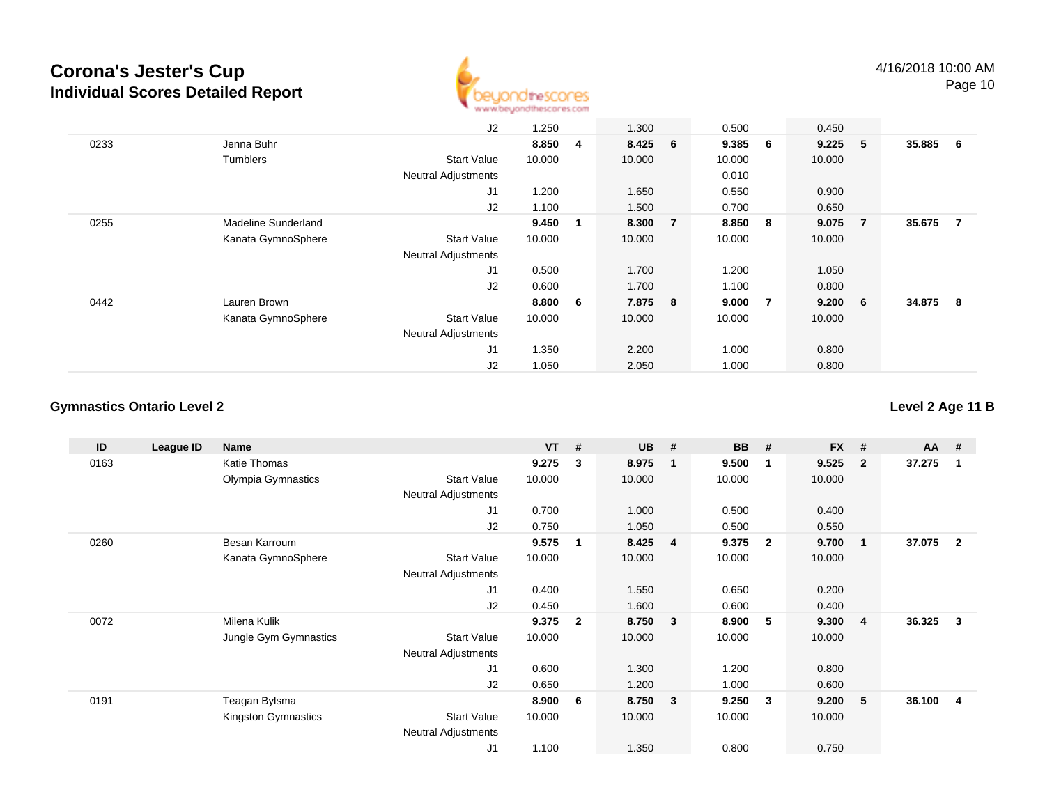

Page 10

|      |                     | J2                         | 1.250  |   | 1.300   |   | 0.500  |   | 0.450   |                |          |                |
|------|---------------------|----------------------------|--------|---|---------|---|--------|---|---------|----------------|----------|----------------|
| 0233 | Jenna Buhr          |                            | 8.850  | 4 | 8.425 6 |   | 9.385  | 6 | 9.225   | 5              | 35.885 6 |                |
|      | Tumblers            | <b>Start Value</b>         | 10.000 |   | 10.000  |   | 10.000 |   | 10.000  |                |          |                |
|      |                     | <b>Neutral Adjustments</b> |        |   |         |   | 0.010  |   |         |                |          |                |
|      |                     | J <sub>1</sub>             | 1.200  |   | 1.650   |   | 0.550  |   | 0.900   |                |          |                |
|      |                     | J2                         | 1.100  |   | 1.500   |   | 0.700  |   | 0.650   |                |          |                |
| 0255 | Madeline Sunderland |                            | 9.450  | 1 | 8.300   | 7 | 8.850  | 8 | 9.075   | $\overline{7}$ | 35.675   | $\overline{7}$ |
|      | Kanata GymnoSphere  | <b>Start Value</b>         | 10.000 |   | 10.000  |   | 10.000 |   | 10.000  |                |          |                |
|      |                     | <b>Neutral Adjustments</b> |        |   |         |   |        |   |         |                |          |                |
|      |                     | J <sub>1</sub>             | 0.500  |   | 1.700   |   | 1.200  |   | 1.050   |                |          |                |
|      |                     | J2                         | 0.600  |   | 1.700   |   | 1.100  |   | 0.800   |                |          |                |
| 0442 | Lauren Brown        |                            | 8.800  | 6 | 7.875 8 |   | 9.000  | 7 | 9.200 6 |                | 34.875 8 |                |
|      | Kanata GymnoSphere  | <b>Start Value</b>         | 10.000 |   | 10.000  |   | 10.000 |   | 10.000  |                |          |                |
|      |                     | <b>Neutral Adjustments</b> |        |   |         |   |        |   |         |                |          |                |
|      |                     | J <sub>1</sub>             | 1.350  |   | 2.200   |   | 1.000  |   | 0.800   |                |          |                |
|      |                     | J2                         | 1.050  |   | 2.050   |   | 1.000  |   | 0.800   |                |          |                |

#### **Gymnastics Ontario Level 2**

**Level 2 Age 11 B**

| ID   | League ID | Name                  |                            | <b>VT</b> | #              | <b>UB</b> | #                       | <b>BB</b> | #                       | <b>FX</b> | #              | $AA$ # |                |
|------|-----------|-----------------------|----------------------------|-----------|----------------|-----------|-------------------------|-----------|-------------------------|-----------|----------------|--------|----------------|
| 0163 |           | Katie Thomas          |                            | 9.275     | 3              | 8.975     | -1                      | 9.500     | $\overline{\mathbf{1}}$ | 9.525     | $\overline{2}$ | 37.275 |                |
|      |           | Olympia Gymnastics    | <b>Start Value</b>         | 10.000    |                | 10.000    |                         | 10.000    |                         | 10.000    |                |        |                |
|      |           |                       | <b>Neutral Adjustments</b> |           |                |           |                         |           |                         |           |                |        |                |
|      |           |                       | J1                         | 0.700     |                | 1.000     |                         | 0.500     |                         | 0.400     |                |        |                |
|      |           |                       | J2                         | 0.750     |                | 1.050     |                         | 0.500     |                         | 0.550     |                |        |                |
| 0260 |           | Besan Karroum         |                            | 9.575     | 1              | 8.425     | $\overline{\mathbf{4}}$ | 9.375     | $\overline{\mathbf{2}}$ | 9.700     | 1              | 37.075 | $\overline{2}$ |
|      |           | Kanata GymnoSphere    | <b>Start Value</b>         | 10.000    |                | 10.000    |                         | 10.000    |                         | 10.000    |                |        |                |
|      |           |                       | Neutral Adjustments        |           |                |           |                         |           |                         |           |                |        |                |
|      |           |                       | J1                         | 0.400     |                | 1.550     |                         | 0.650     |                         | 0.200     |                |        |                |
|      |           |                       | J2                         | 0.450     |                | 1.600     |                         | 0.600     |                         | 0.400     |                |        |                |
| 0072 |           | Milena Kulik          |                            | 9.375     | $\overline{2}$ | 8.750     | $\overline{\mathbf{3}}$ | 8.900     | -5                      | 9.300     | 4              | 36.325 | 3              |
|      |           | Jungle Gym Gymnastics | <b>Start Value</b>         | 10.000    |                | 10.000    |                         | 10.000    |                         | 10.000    |                |        |                |
|      |           |                       | <b>Neutral Adjustments</b> |           |                |           |                         |           |                         |           |                |        |                |
|      |           |                       | J1                         | 0.600     |                | 1.300     |                         | 1.200     |                         | 0.800     |                |        |                |
|      |           |                       | J2                         | 0.650     |                | 1.200     |                         | 1.000     |                         | 0.600     |                |        |                |
| 0191 |           | Teagan Bylsma         |                            | 8.900     | 6              | 8.750     | $\overline{\mathbf{3}}$ | 9.250     | 3                       | 9.200     | 5              | 36.100 | 4              |
|      |           | Kingston Gymnastics   | <b>Start Value</b>         | 10.000    |                | 10.000    |                         | 10.000    |                         | 10.000    |                |        |                |
|      |           |                       | <b>Neutral Adjustments</b> |           |                |           |                         |           |                         |           |                |        |                |
|      |           |                       | J <sub>1</sub>             | 1.100     |                | 1.350     |                         | 0.800     |                         | 0.750     |                |        |                |